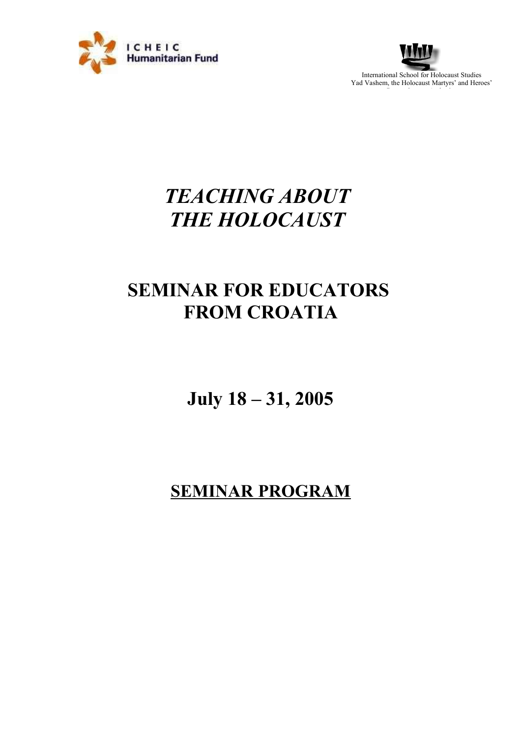



# *TEACHING ABOUT THE HOLOCAUST*

# **SEMINAR FOR EDUCATORS FROM CROATIA**

**July 18 – 31, 2005**

# **SEMINAR PROGRAM**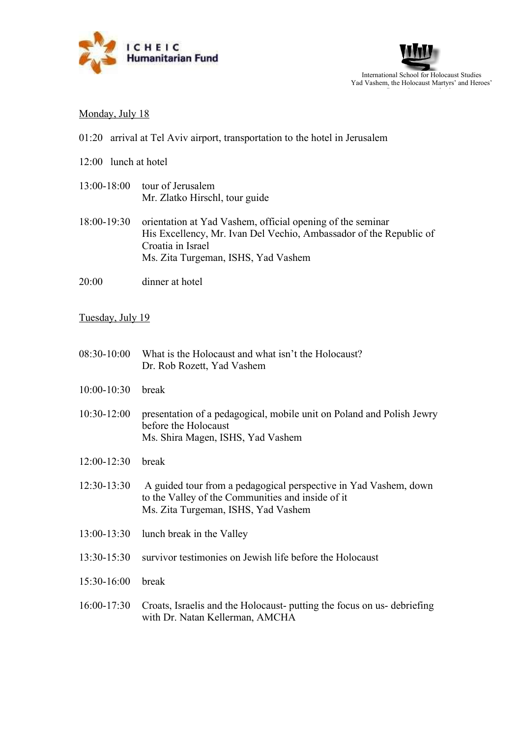



### Monday, July 18

- 01:20 arrival at Tel Aviv airport, transportation to the hotel in Jerusalem
- 12:00 lunch at hotel
- 13:00-18:00 tour of Jerusalem Mr. Zlatko Hirschl, tour guide
- 18:00-19:30 orientation at Yad Vashem, official opening of the seminar His Excellency, Mr. Ivan Del Vechio, Ambassador of the Republic of Croatia in Israel Ms. Zita Turgeman, ISHS, Yad Vashem
- 20:00 dinner at hotel

#### Tuesday, July 19

| What is the Holocaust and what isn't the Holocaust?<br>Dr. Rob Rozett, Yad Vashem                                                                            |
|--------------------------------------------------------------------------------------------------------------------------------------------------------------|
| break                                                                                                                                                        |
| presentation of a pedagogical, mobile unit on Poland and Polish Jewry<br>before the Holocaust<br>Ms. Shira Magen, ISHS, Yad Vashem                           |
| break                                                                                                                                                        |
| A guided tour from a pedagogical perspective in Yad Vashem, down<br>to the Valley of the Communities and inside of it<br>Ms. Zita Turgeman, ISHS, Yad Vashem |
| lunch break in the Valley                                                                                                                                    |
| survivor testimonies on Jewish life before the Holocaust                                                                                                     |
| break                                                                                                                                                        |
| Croats, Israelis and the Holocaust- putting the focus on us- debriefing<br>with Dr. Natan Kellerman, AMCHA                                                   |
|                                                                                                                                                              |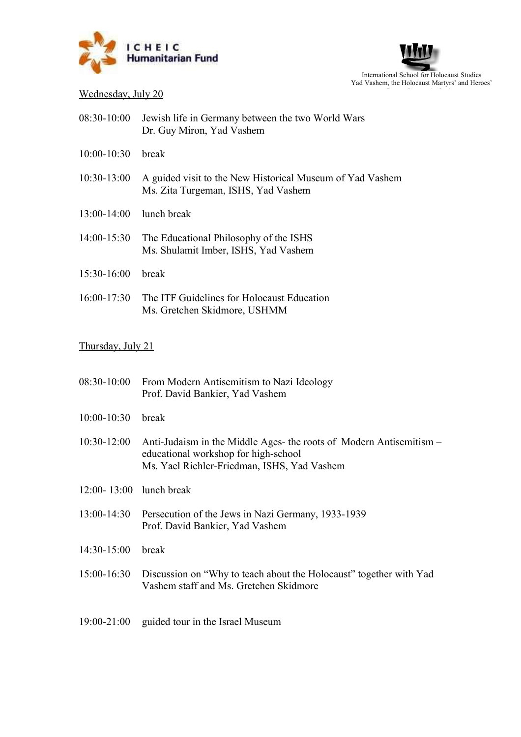



## $We already, July 20$

| $08:30-10:00$       | Jewish life in Germany between the two World Wars<br>Dr. Guy Miron, Yad Vashem |
|---------------------|--------------------------------------------------------------------------------|
| $10:00-10:30$ break |                                                                                |

- 10:30-13:00 A guided visit to the New Historical Museum of Yad Vashem Ms. Zita Turgeman, ISHS, Yad Vashem
- 13:00-14:00 lunch break
- 14:00-15:30 The Educational Philosophy of the ISHS Ms. Shulamit Imber, ISHS, Yad Vashem
- 15:30-16:00 break
- 16:00-17:30 The ITF Guidelines for Holocaust Education Ms. Gretchen Skidmore, USHMM

### Thursday, July 21

| 08:30-10:00             | From Modern Antisemitism to Nazi Ideology<br>Prof. David Bankier, Yad Vashem                                                                               |
|-------------------------|------------------------------------------------------------------------------------------------------------------------------------------------------------|
| $10:00 - 10:30$         | break                                                                                                                                                      |
| $10:30-12:00$           | Anti-Judaism in the Middle Ages- the roots of Modern Antisemitism –<br>educational workshop for high-school<br>Ms. Yael Richler-Friedman, ISHS, Yad Vashem |
| 12:00-13:00 lunch break |                                                                                                                                                            |
|                         | 13:00-14:30 Persecution of the Jews in Nazi Germany, 1933-1939<br>Prof. David Bankier, Yad Vashem                                                          |
| 14:30-15:00             | break                                                                                                                                                      |
| 15:00-16:30             | Discussion on "Why to teach about the Holocaust" together with Yad<br>Vashem staff and Ms. Gretchen Skidmore                                               |

19:00-21:00 guided tour in the Israel Museum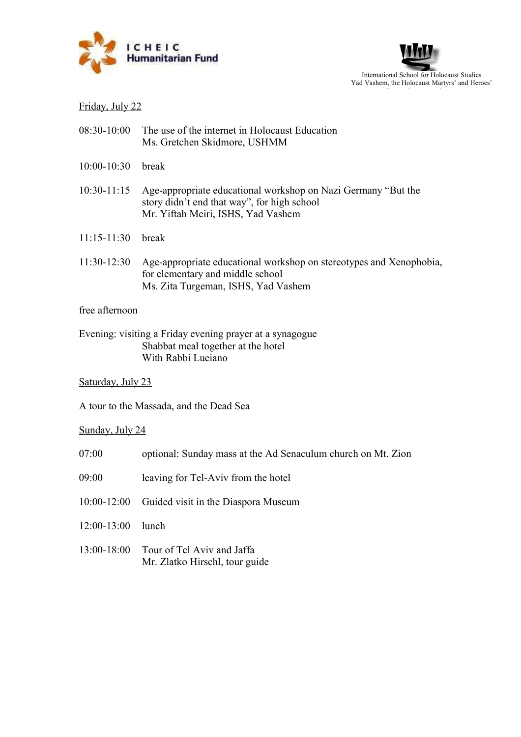



## Friday, July 22

- 08:30-10:00 The use of the internet in Holocaust Education Ms. Gretchen Skidmore, USHMM
- 10:00-10:30 break
- 10:30-11:15 Age-appropriate educational workshop on Nazi Germany "But the story didn't end that way", for high school Mr. Yiftah Meiri, ISHS, Yad Vashem
- 11:15-11:30 break
- 11:30-12:30 Age-appropriate educational workshop on stereotypes and Xenophobia, for elementary and middle school Ms. Zita Turgeman, ISHS, Yad Vashem

#### free afternoon

Evening: visiting a Friday evening prayer at a synagogue Shabbat meal together at the hotel With Rabbi Luciano

Saturday, July 23

A tour to the Massada, and the Dead Sea

Sunday, July 24

- 07:00 optional: Sunday mass at the Ad Senaculum church on Mt. Zion
- 09:00 leaving for Tel-Aviv from the hotel
- 10:00-12:00 Guided visit in the Diaspora Museum
- 12:00-13:00 lunch
- 13:00-18:00 Tour of Tel Aviv and Jaffa Mr. Zlatko Hirschl, tour guide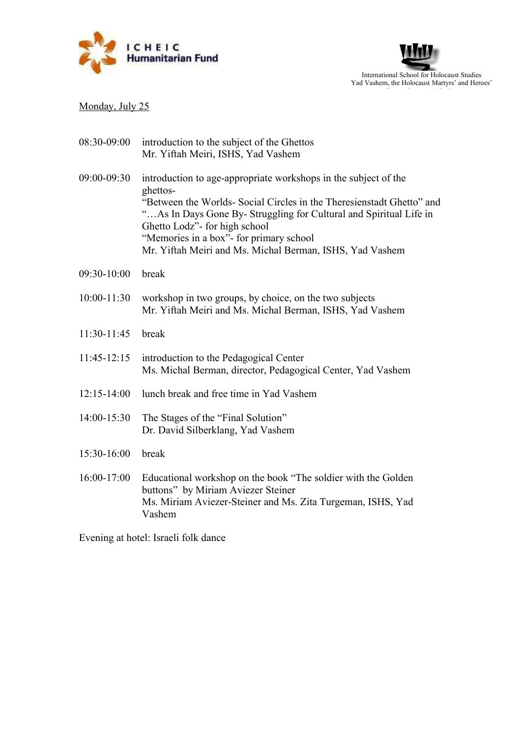



# Monday, July 25

| introduction to the subject of the Ghettos<br>Mr. Yiftah Meiri, ISHS, Yad Vashem                                                                                                                                                                                                                                                                                   |
|--------------------------------------------------------------------------------------------------------------------------------------------------------------------------------------------------------------------------------------------------------------------------------------------------------------------------------------------------------------------|
| introduction to age-appropriate workshops in the subject of the<br>ghettos-<br>"Between the Worlds- Social Circles in the Theresienstadt Ghetto" and<br>"As In Days Gone By- Struggling for Cultural and Spiritual Life in<br>Ghetto Lodz"- for high school<br>"Memories in a box"- for primary school<br>Mr. Yiftah Meiri and Ms. Michal Berman, ISHS, Yad Vashem |
| break                                                                                                                                                                                                                                                                                                                                                              |
| workshop in two groups, by choice, on the two subjects<br>Mr. Yiftah Meiri and Ms. Michal Berman, ISHS, Yad Vashem                                                                                                                                                                                                                                                 |
| break                                                                                                                                                                                                                                                                                                                                                              |
| introduction to the Pedagogical Center<br>Ms. Michal Berman, director, Pedagogical Center, Yad Vashem                                                                                                                                                                                                                                                              |
| lunch break and free time in Yad Vashem                                                                                                                                                                                                                                                                                                                            |
| The Stages of the "Final Solution"<br>Dr. David Silberklang, Yad Vashem                                                                                                                                                                                                                                                                                            |
| break                                                                                                                                                                                                                                                                                                                                                              |
| Educational workshop on the book "The soldier with the Golden<br>buttons" by Miriam Aviezer Steiner<br>Ms. Miriam Aviezer-Steiner and Ms. Zita Turgeman, ISHS, Yad<br>Vashem                                                                                                                                                                                       |
|                                                                                                                                                                                                                                                                                                                                                                    |

Evening at hotel: Israeli folk dance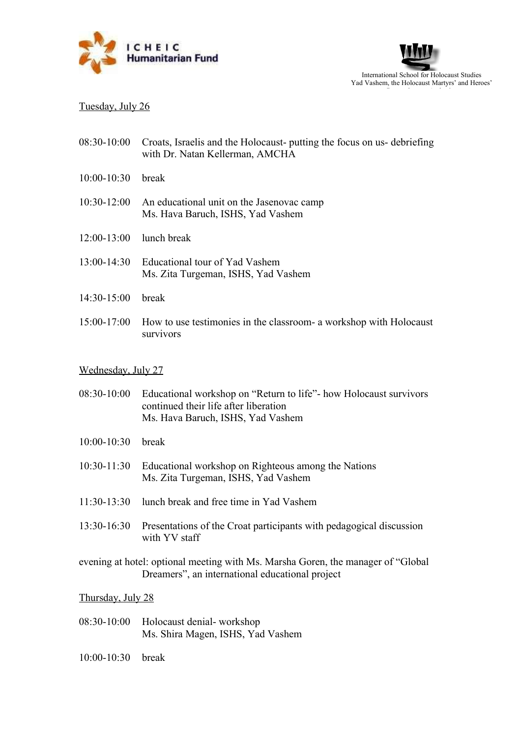



### Tuesday, July 26

| 08:30-10:00 Croats, Israelis and the Holocaust- putting the focus on us- debriefing |
|-------------------------------------------------------------------------------------|
| with Dr. Natan Kellerman, AMCHA                                                     |

- 10:00-10:30 break
- 10:30-12:00 An educational unit on the Jasenovac camp Ms. Hava Baruch, ISHS, Yad Vashem
- 12:00-13:00 lunch break
- 13:00-14:30 Educational tour of Yad Vashem Ms. Zita Turgeman, ISHS, Yad Vashem
- 14:30-15:00 break
- 15:00-17:00 How to use testimonies in the classroom- a workshop with Holocaust survivors

#### Wednesday, July 27

- 08:30-10:00 Educational workshop on "Return to life"- how Holocaust survivors continued their life after liberation Ms. Hava Baruch, ISHS, Yad Vashem
- 10:00-10:30 break
- 10:30-11:30 Educational workshop on Righteous among the Nations Ms. Zita Turgeman, ISHS, Yad Vashem
- 11:30-13:30 lunch break and free time in Yad Vashem
- 13:30-16:30 Presentations of the Croat participants with pedagogical discussion with YV staff

evening at hotel: optional meeting with Ms. Marsha Goren, the manager of "Global Dreamers", an international educational project

#### Thursday, July 28

- 08:30-10:00 Holocaust denial- workshop Ms. Shira Magen, ISHS, Yad Vashem
- 10:00-10:30 break